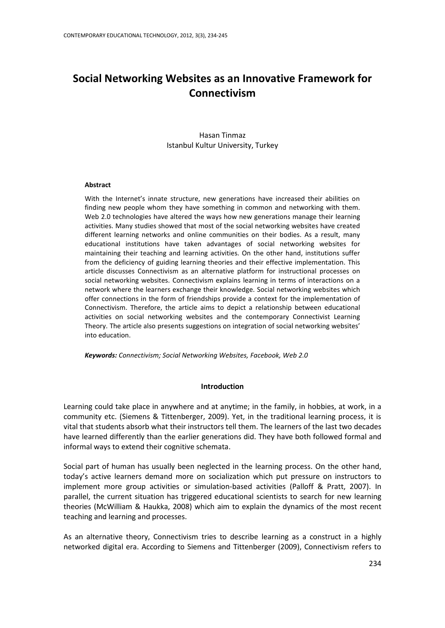# **Social Networking Websites as an Innovative Framework for Connectivism**

Hasan Tinmaz Istanbul Kultur University, Turkey

## **Abstract**

With the Internet's innate structure, new generations have increased their abilities on finding new people whom they have something in common and networking with them. Web 2.0 technologies have altered the ways how new generations manage their learning activities. Many studies showed that most of the social networking websites have created different learning networks and online communities on their bodies. As a result, many educational institutions have taken advantages of social networking websites for maintaining their teaching and learning activities. On the other hand, institutions suffer from the deficiency of guiding learning theories and their effective implementation. This article discusses Connectivism as an alternative platform for instructional processes on social networking websites. Connectivism explains learning in terms of interactions on a network where the learners exchange their knowledge. Social networking websites which offer connections in the form of friendships provide a context for the implementation of Connectivism. Therefore, the article aims to depict a relationship between educational activities on social networking websites and the contemporary Connectivist Learning Theory. The article also presents suggestions on integration of social networking websites' into education.

*Keywords: Connectivism; Social Networking Websites, Facebook, Web 2.0*

## **Introduction**

Learning could take place in anywhere and at anytime; in the family, in hobbies, at work, in a community etc. (Siemens & Tittenberger, 2009). Yet, in the traditional learning process, it is vital that students absorb what their instructors tell them. The learners of the last two decades have learned differently than the earlier generations did. They have both followed formal and informal ways to extend their cognitive schemata.

Social part of human has usually been neglected in the learning process. On the other hand, today's active learners demand more on socialization which put pressure on instructors to implement more group activities or simulation-based activities (Palloff & Pratt, 2007). In parallel, the current situation has triggered educational scientists to search for new learning theories (McWilliam & Haukka, 2008) which aim to explain the dynamics of the most recent teaching and learning and processes.

As an alternative theory, Connectivism tries to describe learning as a construct in a highly networked digital era. According to Siemens and Tittenberger (2009), Connectivism refers to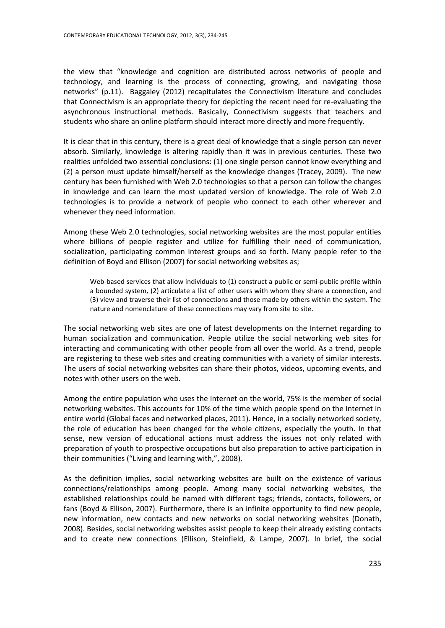the view that "knowledge and cognition are distributed across networks of people and technology, and learning is the process of connecting, growing, and navigating those networks" (p.11). Baggaley (2012) recapitulates the Connectivism literature and concludes that Connectivism is an appropriate theory for depicting the recent need for re-evaluating the asynchronous instructional methods. Basically, Connectivism suggests that teachers and students who share an online platform should interact more directly and more frequently.

It is clear that in this century, there is a great deal of knowledge that a single person can never absorb. Similarly, knowledge is altering rapidly than it was in previous centuries. These two realities unfolded two essential conclusions: (1) one single person cannot know everything and (2) a person must update himself/herself as the knowledge changes (Tracey, 2009). The new century has been furnished with Web 2.0 technologies so that a person can follow the changes in knowledge and can learn the most updated version of knowledge. The role of Web 2.0 technologies is to provide a network of people who connect to each other wherever and whenever they need information.

Among these Web 2.0 technologies, social networking websites are the most popular entities where billions of people register and utilize for fulfilling their need of communication, socialization, participating common interest groups and so forth. Many people refer to the definition of Boyd and Ellison (2007) for social networking websites as;

Web-based services that allow individuals to (1) construct a public or semi-public profile within a bounded system, (2) articulate a list of other users with whom they share a connection, and (3) view and traverse their list of connections and those made by others within the system. The nature and nomenclature of these connections may vary from site to site.

The social networking web sites are one of latest developments on the Internet regarding to human socialization and communication. People utilize the social networking web sites for interacting and communicating with other people from all over the world. As a trend, people are registering to these web sites and creating communities with a variety of similar interests. The users of social networking websites can share their photos, videos, upcoming events, and notes with other users on the web.

Among the entire population who uses the Internet on the world, 75% is the member of social networking websites. This accounts for 10% of the time which people spend on the Internet in entire world (Global faces and networked places, 2011). Hence, in a socially networked society, the role of education has been changed for the whole citizens, especially the youth. In that sense, new version of educational actions must address the issues not only related with preparation of youth to prospective occupations but also preparation to active participation in their communities ("Living and learning with,", 2008).

As the definition implies, social networking websites are built on the existence of various connections/relationships among people. Among many social networking websites, the established relationships could be named with different tags; friends, contacts, followers, or fans (Boyd & Ellison, 2007). Furthermore, there is an infinite opportunity to find new people, new information, new contacts and new networks on social networking websites (Donath, 2008). Besides, social networking websites assist people to keep their already existing contacts and to create new connections (Ellison, Steinfield, & Lampe, 2007). In brief, the social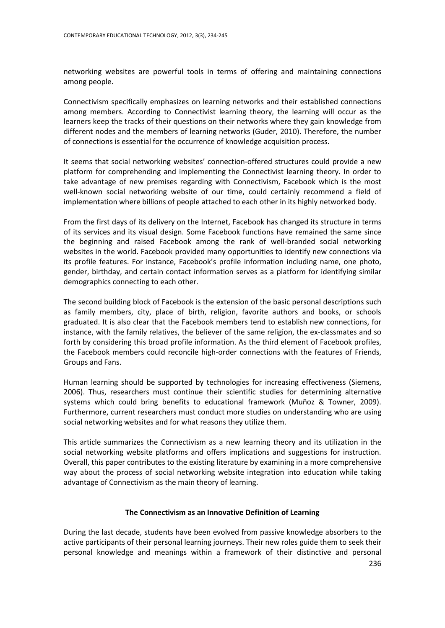networking websites are powerful tools in terms of offering and maintaining connections among people.

Connectivism specifically emphasizes on learning networks and their established connections among members. According to Connectivist learning theory, the learning will occur as the learners keep the tracks of their questions on their networks where they gain knowledge from different nodes and the members of learning networks (Guder, 2010). Therefore, the number of connections is essential for the occurrence of knowledge acquisition process.

It seems that social networking websites' connection-offered structures could provide a new platform for comprehending and implementing the Connectivist learning theory. In order to take advantage of new premises regarding with Connectivism, Facebook which is the most well-known social networking website of our time, could certainly recommend a field of implementation where billions of people attached to each other in its highly networked body.

From the first days of its delivery on the Internet, Facebook has changed its structure in terms of its services and its visual design. Some Facebook functions have remained the same since the beginning and raised Facebook among the rank of well-branded social networking websites in the world. Facebook provided many opportunities to identify new connections via its profile features. For instance, Facebook's profile information including name, one photo, gender, birthday, and certain contact information serves as a platform for identifying similar demographics connecting to each other.

The second building block of Facebook is the extension of the basic personal descriptions such as family members, city, place of birth, religion, favorite authors and books, or schools graduated. It is also clear that the Facebook members tend to establish new connections, for instance, with the family relatives, the believer of the same religion, the ex-classmates and so forth by considering this broad profile information. As the third element of Facebook profiles, the Facebook members could reconcile high-order connections with the features of Friends, Groups and Fans.

Human learning should be supported by technologies for increasing effectiveness (Siemens, 2006). Thus, researchers must continue their scientific studies for determining alternative systems which could bring benefits to educational framework (Muñoz & Towner, 2009). Furthermore, current researchers must conduct more studies on understanding who are using social networking websites and for what reasons they utilize them.

This article summarizes the Connectivism as a new learning theory and its utilization in the social networking website platforms and offers implications and suggestions for instruction. Overall, this paper contributes to the existing literature by examining in a more comprehensive way about the process of social networking website integration into education while taking advantage of Connectivism as the main theory of learning.

## **The Connectivism as an Innovative Definition of Learning**

During the last decade, students have been evolved from passive knowledge absorbers to the active participants of their personal learning journeys. Their new roles guide them to seek their personal knowledge and meanings within a framework of their distinctive and personal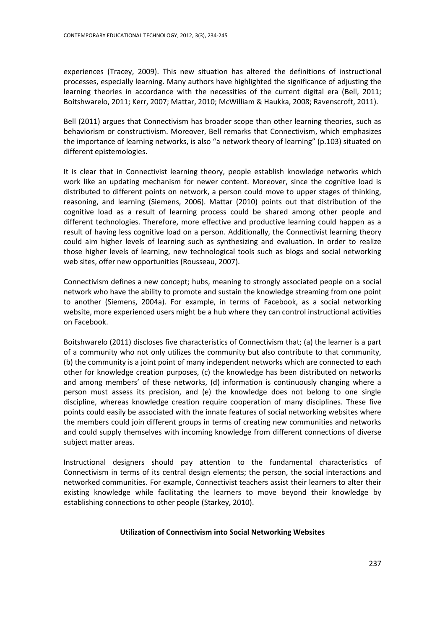experiences (Tracey, 2009). This new situation has altered the definitions of instructional processes, especially learning. Many authors have highlighted the significance of adjusting the learning theories in accordance with the necessities of the current digital era (Bell, 2011; Boitshwarelo, 2011; Kerr, 2007; Mattar, 2010; McWilliam & Haukka, 2008; Ravenscroft, 2011).

Bell (2011) argues that Connectivism has broader scope than other learning theories, such as behaviorism or constructivism. Moreover, Bell remarks that Connectivism, which emphasizes the importance of learning networks, is also "a network theory of learning" (p.103) situated on different epistemologies.

It is clear that in Connectivist learning theory, people establish knowledge networks which work like an updating mechanism for newer content. Moreover, since the cognitive load is distributed to different points on network, a person could move to upper stages of thinking, reasoning, and learning (Siemens, 2006). Mattar (2010) points out that distribution of the cognitive load as a result of learning process could be shared among other people and different technologies. Therefore, more effective and productive learning could happen as a result of having less cognitive load on a person. Additionally, the Connectivist learning theory could aim higher levels of learning such as synthesizing and evaluation. In order to realize those higher levels of learning, new technological tools such as blogs and social networking web sites, offer new opportunities (Rousseau, 2007).

Connectivism defines a new concept; hubs, meaning to strongly associated people on a social network who have the ability to promote and sustain the knowledge streaming from one point to another (Siemens, 2004a). For example, in terms of Facebook, as a social networking website, more experienced users might be a hub where they can control instructional activities on Facebook.

Boitshwarelo (2011) discloses five characteristics of Connectivism that; (a) the learner is a part of a community who not only utilizes the community but also contribute to that community, (b) the community is a joint point of many independent networks which are connected to each other for knowledge creation purposes, (c) the knowledge has been distributed on networks and among members' of these networks, (d) information is continuously changing where a person must assess its precision, and (e) the knowledge does not belong to one single discipline, whereas knowledge creation require cooperation of many disciplines. These five points could easily be associated with the innate features of social networking websites where the members could join different groups in terms of creating new communities and networks and could supply themselves with incoming knowledge from different connections of diverse subject matter areas.

Instructional designers should pay attention to the fundamental characteristics of Connectivism in terms of its central design elements; the person, the social interactions and networked communities. For example, Connectivist teachers assist their learners to alter their existing knowledge while facilitating the learners to move beyond their knowledge by establishing connections to other people (Starkey, 2010).

## **Utilization of Connectivism into Social Networking Websites**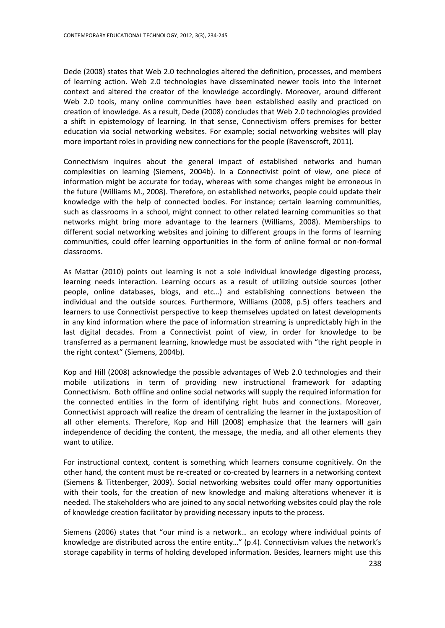Dede (2008) states that Web 2.0 technologies altered the definition, processes, and members of learning action. Web 2.0 technologies have disseminated newer tools into the Internet context and altered the creator of the knowledge accordingly. Moreover, around different Web 2.0 tools, many online communities have been established easily and practiced on creation of knowledge. As a result, Dede (2008) concludes that Web 2.0 technologies provided a shift in epistemology of learning. In that sense, Connectivism offers premises for better education via social networking websites. For example; social networking websites will play more important roles in providing new connections for the people (Ravenscroft, 2011).

Connectivism inquires about the general impact of established networks and human complexities on learning (Siemens, 2004b). In a Connectivist point of view, one piece of information might be accurate for today, whereas with some changes might be erroneous in the future (Williams M., 2008). Therefore, on established networks, people could update their knowledge with the help of connected bodies. For instance; certain learning communities, such as classrooms in a school, might connect to other related learning communities so that networks might bring more advantage to the learners (Williams, 2008). Memberships to different social networking websites and joining to different groups in the forms of learning communities, could offer learning opportunities in the form of online formal or non-formal classrooms.

As Mattar (2010) points out learning is not a sole individual knowledge digesting process, learning needs interaction. Learning occurs as a result of utilizing outside sources (other people, online databases, blogs, and etc…) and establishing connections between the individual and the outside sources. Furthermore, Williams (2008, p.5) offers teachers and learners to use Connectivist perspective to keep themselves updated on latest developments in any kind information where the pace of information streaming is unpredictably high in the last digital decades. From a Connectivist point of view, in order for knowledge to be transferred as a permanent learning, knowledge must be associated with "the right people in the right context" (Siemens, 2004b).

Kop and Hill (2008) acknowledge the possible advantages of Web 2.0 technologies and their mobile utilizations in term of providing new instructional framework for adapting Connectivism. Both offline and online social networks will supply the required information for the connected entities in the form of identifying right hubs and connections. Moreover, Connectivist approach will realize the dream of centralizing the learner in the juxtaposition of all other elements. Therefore, Kop and Hill (2008) emphasize that the learners will gain independence of deciding the content, the message, the media, and all other elements they want to utilize.

For instructional context, content is something which learners consume cognitively. On the other hand, the content must be re-created or co-created by learners in a networking context (Siemens & Tittenberger, 2009). Social networking websites could offer many opportunities with their tools, for the creation of new knowledge and making alterations whenever it is needed. The stakeholders who are joined to any social networking websites could play the role of knowledge creation facilitator by providing necessary inputs to the process.

Siemens (2006) states that "our mind is a network… an ecology where individual points of knowledge are distributed across the entire entity…" (p.4). Connectivism values the network's storage capability in terms of holding developed information. Besides, learners might use this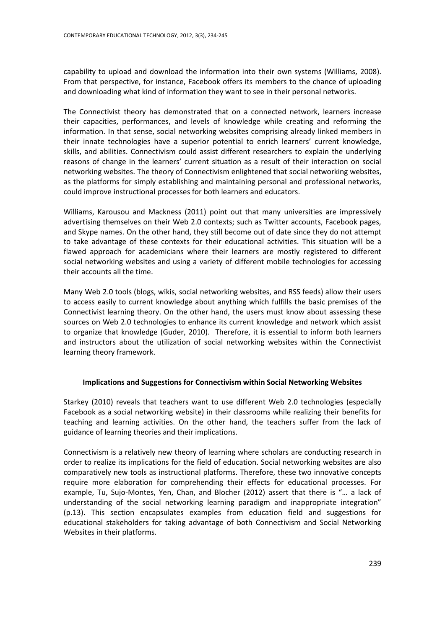capability to upload and download the information into their own systems (Williams, 2008). From that perspective, for instance, Facebook offers its members to the chance of uploading and downloading what kind of information they want to see in their personal networks.

The Connectivist theory has demonstrated that on a connected network, learners increase their capacities, performances, and levels of knowledge while creating and reforming the information. In that sense, social networking websites comprising already linked members in their innate technologies have a superior potential to enrich learners' current knowledge, skills, and abilities. Connectivism could assist different researchers to explain the underlying reasons of change in the learners' current situation as a result of their interaction on social networking websites. The theory of Connectivism enlightened that social networking websites, as the platforms for simply establishing and maintaining personal and professional networks, could improve instructional processes for both learners and educators.

Williams, Karousou and Mackness (2011) point out that many universities are impressively advertising themselves on their Web 2.0 contexts; such as Twitter accounts, Facebook pages, and Skype names. On the other hand, they still become out of date since they do not attempt to take advantage of these contexts for their educational activities. This situation will be a flawed approach for academicians where their learners are mostly registered to different social networking websites and using a variety of different mobile technologies for accessing their accounts all the time.

Many Web 2.0 tools (blogs, wikis, social networking websites, and RSS feeds) allow their users to access easily to current knowledge about anything which fulfills the basic premises of the Connectivist learning theory. On the other hand, the users must know about assessing these sources on Web 2.0 technologies to enhance its current knowledge and network which assist to organize that knowledge (Guder, 2010). Therefore, it is essential to inform both learners and instructors about the utilization of social networking websites within the Connectivist learning theory framework.

## **Implications and Suggestions for Connectivism within Social Networking Websites**

Starkey (2010) reveals that teachers want to use different Web 2.0 technologies (especially Facebook as a social networking website) in their classrooms while realizing their benefits for teaching and learning activities. On the other hand, the teachers suffer from the lack of guidance of learning theories and their implications.

Connectivism is a relatively new theory of learning where scholars are conducting research in order to realize its implications for the field of education. Social networking websites are also comparatively new tools as instructional platforms. Therefore, these two innovative concepts require more elaboration for comprehending their effects for educational processes. For example, Tu, Sujo-Montes, Yen, Chan, and Blocher (2012) assert that there is "… a lack of understanding of the social networking learning paradigm and inappropriate integration" (p.13). This section encapsulates examples from education field and suggestions for educational stakeholders for taking advantage of both Connectivism and Social Networking Websites in their platforms.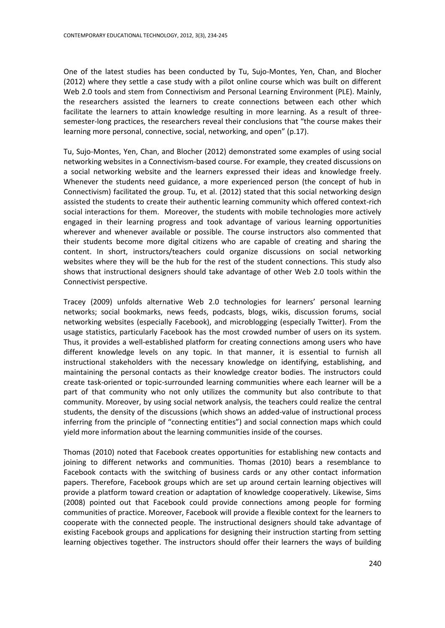One of the latest studies has been conducted by Tu, Sujo-Montes, Yen, Chan, and Blocher (2012) where they settle a case study with a pilot online course which was built on different Web 2.0 tools and stem from Connectivism and Personal Learning Environment (PLE). Mainly, the researchers assisted the learners to create connections between each other which facilitate the learners to attain knowledge resulting in more learning. As a result of threesemester-long practices, the researchers reveal their conclusions that "the course makes their learning more personal, connective, social, networking, and open" (p.17).

Tu, Sujo-Montes, Yen, Chan, and Blocher (2012) demonstrated some examples of using social networking websites in a Connectivism-based course. For example, they created discussions on a social networking website and the learners expressed their ideas and knowledge freely. Whenever the students need guidance, a more experienced person (the concept of hub in Connectivism) facilitated the group. Tu, et al. (2012) stated that this social networking design assisted the students to create their authentic learning community which offered context-rich social interactions for them. Moreover, the students with mobile technologies more actively engaged in their learning progress and took advantage of various learning opportunities wherever and whenever available or possible. The course instructors also commented that their students become more digital citizens who are capable of creating and sharing the content. In short, instructors/teachers could organize discussions on social networking websites where they will be the hub for the rest of the student connections. This study also shows that instructional designers should take advantage of other Web 2.0 tools within the Connectivist perspective.

Tracey (2009) unfolds alternative Web 2.0 technologies for learners' personal learning networks; social bookmarks, news feeds, podcasts, blogs, wikis, discussion forums, social networking websites (especially Facebook), and microblogging (especially Twitter). From the usage statistics, particularly Facebook has the most crowded number of users on its system. Thus, it provides a well-established platform for creating connections among users who have different knowledge levels on any topic. In that manner, it is essential to furnish all instructional stakeholders with the necessary knowledge on identifying, establishing, and maintaining the personal contacts as their knowledge creator bodies. The instructors could create task-oriented or topic-surrounded learning communities where each learner will be a part of that community who not only utilizes the community but also contribute to that community. Moreover, by using social network analysis, the teachers could realize the central students, the density of the discussions (which shows an added-value of instructional process inferring from the principle of "connecting entities") and social connection maps which could yield more information about the learning communities inside of the courses.

Thomas (2010) noted that Facebook creates opportunities for establishing new contacts and joining to different networks and communities. Thomas (2010) bears a resemblance to Facebook contacts with the switching of business cards or any other contact information papers. Therefore, Facebook groups which are set up around certain learning objectives will provide a platform toward creation or adaptation of knowledge cooperatively. Likewise, Sims (2008) pointed out that Facebook could provide connections among people for forming communities of practice. Moreover, Facebook will provide a flexible context for the learners to cooperate with the connected people. The instructional designers should take advantage of existing Facebook groups and applications for designing their instruction starting from setting learning objectives together. The instructors should offer their learners the ways of building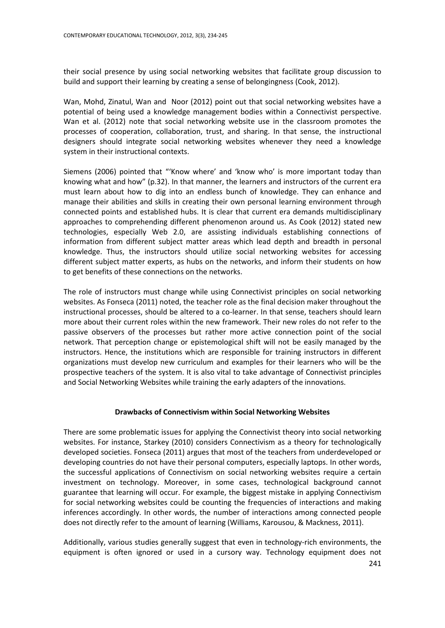their social presence by using social networking websites that facilitate group discussion to build and support their learning by creating a sense of belongingness (Cook, 2012).

Wan, Mohd, Zinatul, Wan and Noor (2012) point out that social networking websites have a potential of being used a knowledge management bodies within a Connectivist perspective. Wan et al. (2012) note that social networking website use in the classroom promotes the processes of cooperation, collaboration, trust, and sharing. In that sense, the instructional designers should integrate social networking websites whenever they need a knowledge system in their instructional contexts.

Siemens (2006) pointed that "'Know where' and 'know who' is more important today than knowing what and how" (p.32). In that manner, the learners and instructors of the current era must learn about how to dig into an endless bunch of knowledge. They can enhance and manage their abilities and skills in creating their own personal learning environment through connected points and established hubs. It is clear that current era demands multidisciplinary approaches to comprehending different phenomenon around us. As Cook (2012) stated new technologies, especially Web 2.0, are assisting individuals establishing connections of information from different subject matter areas which lead depth and breadth in personal knowledge. Thus, the instructors should utilize social networking websites for accessing different subject matter experts, as hubs on the networks, and inform their students on how to get benefits of these connections on the networks.

The role of instructors must change while using Connectivist principles on social networking websites. As Fonseca (2011) noted, the teacher role as the final decision maker throughout the instructional processes, should be altered to a co-learner. In that sense, teachers should learn more about their current roles within the new framework. Their new roles do not refer to the passive observers of the processes but rather more active connection point of the social network. That perception change or epistemological shift will not be easily managed by the instructors. Hence, the institutions which are responsible for training instructors in different organizations must develop new curriculum and examples for their learners who will be the prospective teachers of the system. It is also vital to take advantage of Connectivist principles and Social Networking Websites while training the early adapters of the innovations.

## **Drawbacks of Connectivism within Social Networking Websites**

There are some problematic issues for applying the Connectivist theory into social networking websites. For instance, Starkey (2010) considers Connectivism as a theory for technologically developed societies. Fonseca (2011) argues that most of the teachers from underdeveloped or developing countries do not have their personal computers, especially laptops. In other words, the successful applications of Connectivism on social networking websites require a certain investment on technology. Moreover, in some cases, technological background cannot guarantee that learning will occur. For example, the biggest mistake in applying Connectivism for social networking websites could be counting the frequencies of interactions and making inferences accordingly. In other words, the number of interactions among connected people does not directly refer to the amount of learning (Williams, Karousou, & Mackness, 2011).

Additionally, various studies generally suggest that even in technology-rich environments, the equipment is often ignored or used in a cursory way. Technology equipment does not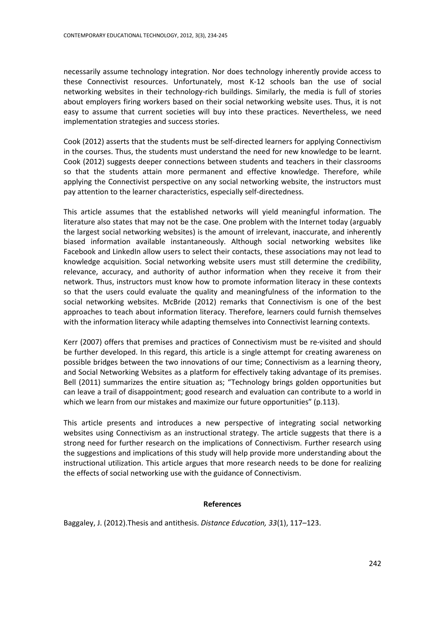necessarily assume technology integration. Nor does technology inherently provide access to these Connectivist resources. Unfortunately, most K-12 schools ban the use of social networking websites in their technology-rich buildings. Similarly, the media is full of stories about employers firing workers based on their social networking website uses. Thus, it is not easy to assume that current societies will buy into these practices. Nevertheless, we need implementation strategies and success stories.

Cook (2012) asserts that the students must be self-directed learners for applying Connectivism in the courses. Thus, the students must understand the need for new knowledge to be learnt. Cook (2012) suggests deeper connections between students and teachers in their classrooms so that the students attain more permanent and effective knowledge. Therefore, while applying the Connectivist perspective on any social networking website, the instructors must pay attention to the learner characteristics, especially self-directedness.

This article assumes that the established networks will yield meaningful information. The literature also states that may not be the case. One problem with the Internet today (arguably the largest social networking websites) is the amount of irrelevant, inaccurate, and inherently biased information available instantaneously. Although social networking websites like Facebook and LinkedIn allow users to select their contacts, these associations may not lead to knowledge acquisition. Social networking website users must still determine the credibility, relevance, accuracy, and authority of author information when they receive it from their network. Thus, instructors must know how to promote information literacy in these contexts so that the users could evaluate the quality and meaningfulness of the information to the social networking websites. McBride (2012) remarks that Connectivism is one of the best approaches to teach about information literacy. Therefore, learners could furnish themselves with the information literacy while adapting themselves into Connectivist learning contexts.

Kerr (2007) offers that premises and practices of Connectivism must be re-visited and should be further developed. In this regard, this article is a single attempt for creating awareness on possible bridges between the two innovations of our time; Connectivism as a learning theory, and Social Networking Websites as a platform for effectively taking advantage of its premises. Bell (2011) summarizes the entire situation as; "Technology brings golden opportunities but can leave a trail of disappointment; good research and evaluation can contribute to a world in which we learn from our mistakes and maximize our future opportunities" (p.113).

This article presents and introduces a new perspective of integrating social networking websites using Connectivism as an instructional strategy. The article suggests that there is a strong need for further research on the implications of Connectivism. Further research using the suggestions and implications of this study will help provide more understanding about the instructional utilization. This article argues that more research needs to be done for realizing the effects of social networking use with the guidance of Connectivism.

## **References**

Baggaley, J. (2012).Thesis and antithesis. *Distance Education, 33*(1), 117–123.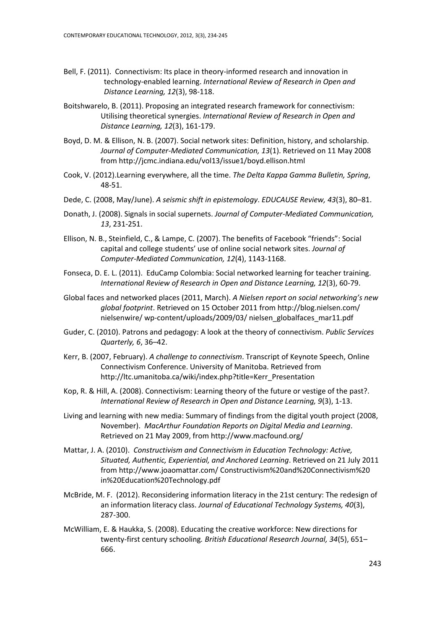- Bell, F. (2011). Connectivism: Its place in theory-informed research and innovation in technology-enabled learning. *International Review of Research in Open and Distance Learning, 12*(3), 98-118.
- Boitshwarelo, B. (2011). Proposing an integrated research framework for connectivism: Utilising theoretical synergies. *International Review of Research in Open and Distance Learning, 12*(3), 161-179.
- Boyd, D. M. & Ellison, N. B. (2007). Social network sites: Definition, history, and scholarship. *Journal of Computer-Mediated Communication, 13*(1). Retrieved on 11 May 2008 from http://jcmc.indiana.edu/vol13/issue1/boyd.ellison.html
- Cook, V. (2012).Learning everywhere, all the time. *The Delta Kappa Gamma Bulletin, Spring*, 48-51.
- Dede, C. (2008, May/June). *A seismic shift in epistemology*. *EDUCAUSE Review, 43*(3), 80–81.
- Donath, J. (2008). Signals in social supernets. *Journal of Computer-Mediated Communication, 13*, 231-251.
- Ellison, N. B., Steinfield, C., & Lampe, C. (2007). The benefits of Facebook "friends": Social capital and college students' use of online social network sites. *Journal of Computer-Mediated Communication, 12*(4), 1143-1168.
- Fonseca, D. E. L. (2011). EduCamp Colombia: Social networked learning for teacher training. *International Review of Research in Open and Distance Learning, 12*(3), 60-79.
- Global faces and networked places (2011, March). *A Nielsen report on social networking's new global footprint*. Retrieved on 15 October 2011 from<http://blog.nielsen.com/> nielsenwire/ wp-content/uploads/2009/03/ nielsen\_globalfaces\_mar11.pdf
- Guder, C. (2010). Patrons and pedagogy: A look at the theory of connectivism. *Public Services Quarterly, 6*, 36–42.
- Kerr, B. (2007, February). *A challenge to connectivism*. Transcript of Keynote Speech, Online Connectivism Conference. University of Manitoba. Retrieved from http://ltc.umanitoba.ca/wiki/index.php?title=Kerr\_Presentation
- Kop, R. & Hill, A. (2008). Connectivism: Learning theory of the future or vestige of the past?. *International Review of Research in Open and Distance Learning, 9*(3), 1-13.
- Living and learning with new media: Summary of findings from the digital youth project (2008, November). *MacArthur Foundation Reports on Digital Media and Learning*. Retrieved on 21 May 2009, from http://www.macfound.org/
- Mattar, J. A. (2010). *Constructivism and Connectivism in Education Technology: Active, Situated, Authentic, Experiential, and Anchored Learning*. Retrieved on 21 July 2011 from http://www.joaomattar.com/ Constructivism%20and%20Connectivism%20 in%20Education%20Technology.pdf
- McBride, M. F. (2012). Reconsidering information literacy in the 21st century: The redesign of an information literacy class. *Journal of Educational Technology Systems, 40*(3), 287-300.
- McWilliam, E. & Haukka, S. (2008). Educating the creative workforce: New directions for twenty-first century schooling*. British Educational Research Journal, 34*(5), 651– 666.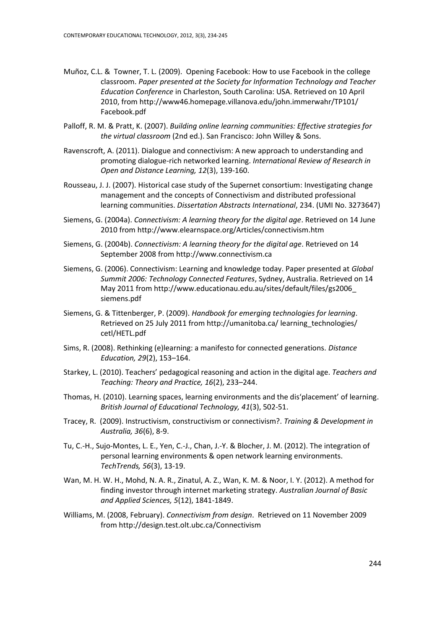- Muñoz, C.L. & Towner, T. L. (2009). Opening Facebook: How to use Facebook in the college classroom. *Paper presented at the Society for Information Technology and Teacher Education Conference* in Charleston, South Carolina: USA. Retrieved on 10 April 2010, fro[m http://www46.homepage.villanova.edu/john.immerwahr/TP101/](http://www46.homepage.villanova.edu/john.immerwahr/TP101/) Facebook.pdf
- Palloff, R. M. & Pratt, K. (2007). *Building online learning communities: Effective strategies for the virtual classroom* (2nd ed.). San Francisco: John Willey & Sons.
- Ravenscroft, A. (2011). Dialogue and connectivism: A new approach to understanding and promoting dialogue-rich networked learning. *International Review of Research in Open and Distance Learning, 12*(3), 139-160.
- Rousseau, J. J. (2007). Historical case study of the Supernet consortium: Investigating change management and the concepts of Connectivism and distributed professional learning communities. *Dissertation Abstracts International*, 234. (UMI No. 3273647)
- Siemens, G. (2004a). *Connectivism: A learning theory for the digital age*. Retrieved on 14 June 2010 from http://www.elearnspace.org/Articles/connectivism.htm
- Siemens, G. (2004b). *Connectivism: A learning theory for the digital age*. Retrieved on 14 September 2008 from http://www.connectivism.ca
- Siemens, G. (2006). Connectivism: Learning and knowledge today. Paper presented at *Global Summit 2006: Technology Connected Features*, Sydney, Australia. Retrieved on 14 May 2011 from [http://www.educationau.edu.au/sites/default/files/gs2006\\_](http://www.educationau.edu.au/sites/default/files/gs2006_) siemens.pdf
- Siemens, G. & Tittenberger, P. (2009). *Handbook for emerging technologies for learning*. Retrieved on 25 July 2011 from http://umanitoba.ca/ learning technologies/ cetl/HETL.pdf
- Sims, R. (2008). Rethinking (e)learning: a manifesto for connected generations. *Distance Education, 29*(2), 153–164.
- Starkey, L. (2010). Teachers' pedagogical reasoning and action in the digital age. *Teachers and Teaching: Theory and Practice, 16*(2), 233–244.
- Thomas, H. (2010). Learning spaces, learning environments and the dis'placement' of learning. *British Journal of Educational Technology, 41*(3), 502-51.
- Tracey, R. (2009). Instructivism, constructivism or connectivism?. *Training & Development in Australia, 36*(6), 8-9.
- Tu, C.-H., Sujo-Montes, L. E., Yen, C.-J., Chan, J.-Y. & Blocher, J. M. (2012). The integration of personal learning environments & open network learning environments. *TechTrends, 56*(3), 13-19.
- Wan, M. H. W. H., Mohd, N. A. R., Zinatul, A. Z., Wan, K. M. & Noor, I. Y. (2012). A method for finding investor through internet marketing strategy. *Australian Journal of Basic and Applied Sciences, 5*(12), 1841-1849.
- Williams, M. (2008, February). *Connectivism from design*. Retrieved on 11 November 2009 from http://design.test.olt.ubc.ca/Connectivism